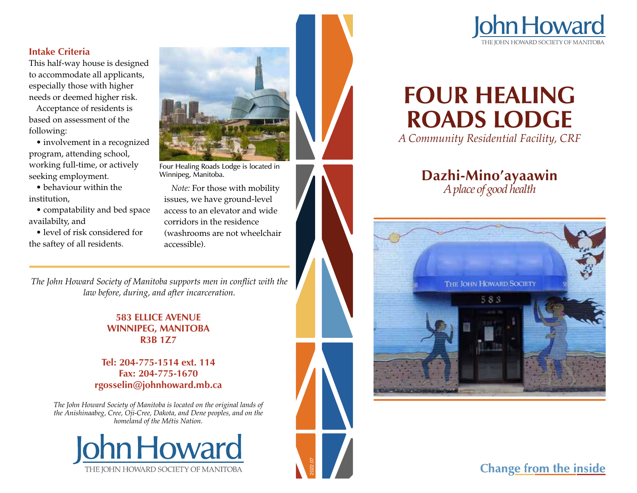#### **Intake Criteria**

This half-way house is designed to accommodate all applicants, especially those with higher needs or deemed higher risk.

Acceptance of residents is based on assessment of the following:

 • involvement in a recognized program, attending school, working full-time, or actively seeking employment.

 • behaviour within the institution,

 • compatability and bed space availabilty, and

 • level of risk considered for the saftey of all residents.



Four Healing Roads Lodge is located in Winnipeg, Manitoba.

*Note:* For those with mobility issues, we have ground-level access to an elevator and wide corridors in the residence (washrooms are not wheelchair accessible).

2022.07

*The John Howard Society of Manitoba supports men in conflict with the law before, during, and after incarceration.*

> **583 Ellice Avenue Winnipeg, Manitoba R3B 1Z7**

**Tel: 204-775-1514 ext. 114 Fax: 204-775-1670 rgosselin@johnhoward.mb.ca** 

*The John Howard Society of Manitoba is located on the original lands of the Anishinaabeg, Cree, Oji-Cree, Dakota, and Dene peoples, and on the homeland of the Métis Nation.*





# **Four Healing Roads Lodge**

*A Community Residential Facility, CRF*

**Dazhi-Mino'ayaawin** *A place of good health*



**Change from the inside**